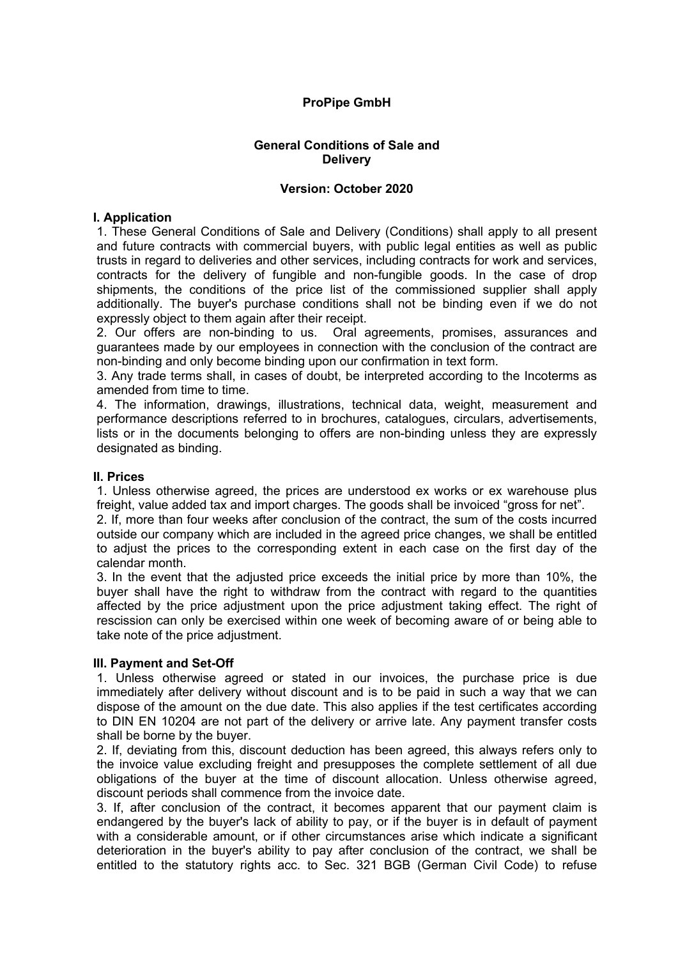# **ProPipe GmbH**

#### **General Conditions of Sale and Delivery**

#### **Version: October 2020**

### **I. Application**

1. These General Conditions of Sale and Delivery (Conditions) shall apply to all present and future contracts with commercial buyers, with public legal entities as well as public trusts in regard to deliveries and other services, including contracts for work and services, contracts for the delivery of fungible and non-fungible goods. In the case of drop shipments, the conditions of the price list of the commissioned supplier shall apply additionally. The buyer's purchase conditions shall not be binding even if we do not expressly object to them again after their receipt.

2. Our offers are non-binding to us. Oral agreements, promises, assurances and guarantees made by our employees in connection with the conclusion of the contract are non-binding and only become binding upon our confirmation in text form.

3. Any trade terms shall, in cases of doubt, be interpreted according to the Incoterms as amended from time to time.

4. The information, drawings, illustrations, technical data, weight, measurement and performance descriptions referred to in brochures, catalogues, circulars, advertisements, lists or in the documents belonging to offers are non-binding unless they are expressly designated as binding.

#### **II. Prices**

1. Unless otherwise agreed, the prices are understood ex works or ex warehouse plus freight, value added tax and import charges. The goods shall be invoiced "gross for net".

2. If, more than four weeks after conclusion of the contract, the sum of the costs incurred outside our company which are included in the agreed price changes, we shall be entitled to adjust the prices to the corresponding extent in each case on the first day of the calendar month.

3. In the event that the adjusted price exceeds the initial price by more than 10%, the buyer shall have the right to withdraw from the contract with regard to the quantities affected by the price adjustment upon the price adjustment taking effect. The right of rescission can only be exercised within one week of becoming aware of or being able to take note of the price adjustment.

#### **III. Payment and Set-Off**

1. Unless otherwise agreed or stated in our invoices, the purchase price is due immediately after delivery without discount and is to be paid in such a way that we can dispose of the amount on the due date. This also applies if the test certificates according to DIN EN 10204 are not part of the delivery or arrive late. Any payment transfer costs shall be borne by the buyer.

2. If, deviating from this, discount deduction has been agreed, this always refers only to the invoice value excluding freight and presupposes the complete settlement of all due obligations of the buyer at the time of discount allocation. Unless otherwise agreed, discount periods shall commence from the invoice date.

3. If, after conclusion of the contract, it becomes apparent that our payment claim is endangered by the buyer's lack of ability to pay, or if the buyer is in default of payment with a considerable amount, or if other circumstances arise which indicate a significant deterioration in the buyer's ability to pay after conclusion of the contract, we shall be entitled to the statutory rights acc. to Sec. 321 BGB (German Civil Code) to refuse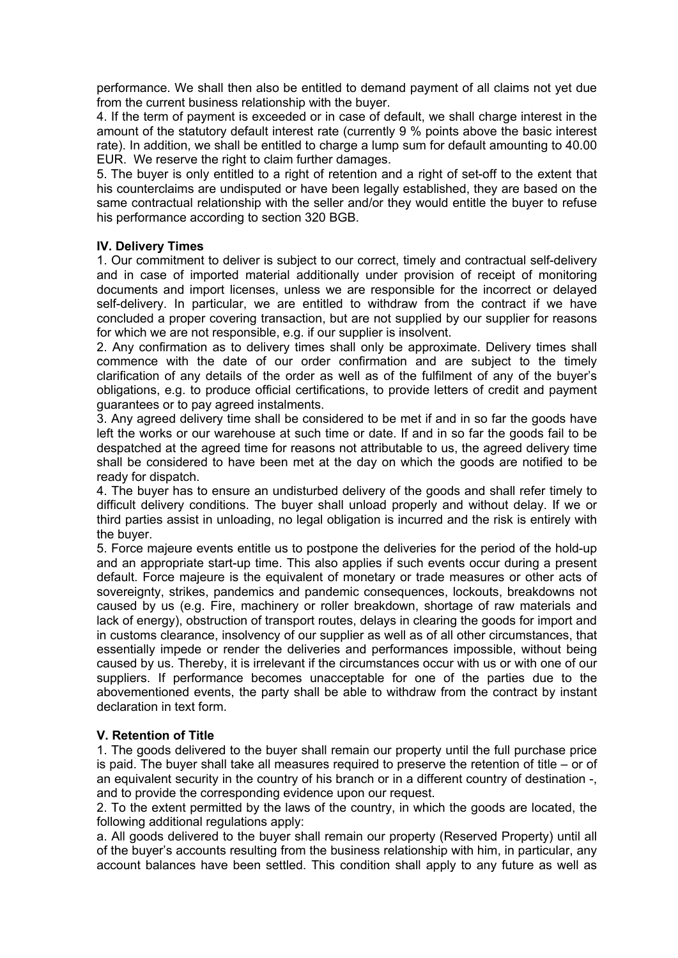performance. We shall then also be entitled to demand payment of all claims not yet due from the current business relationship with the buyer.

4. If the term of payment is exceeded or in case of default, we shall charge interest in the amount of the statutory default interest rate (currently 9 % points above the basic interest rate). In addition, we shall be entitled to charge a lump sum for default amounting to 40.00 EUR. We reserve the right to claim further damages.

5. The buyer is only entitled to a right of retention and a right of set-off to the extent that his counterclaims are undisputed or have been legally established, they are based on the same contractual relationship with the seller and/or they would entitle the buyer to refuse his performance according to section 320 BGB.

## **IV. Delivery Times**

1. Our commitment to deliver is subject to our correct, timely and contractual self-delivery and in case of imported material additionally under provision of receipt of monitoring documents and import licenses, unless we are responsible for the incorrect or delayed self-delivery. In particular, we are entitled to withdraw from the contract if we have concluded a proper covering transaction, but are not supplied by our supplier for reasons for which we are not responsible, e.g. if our supplier is insolvent.

2. Any confirmation as to delivery times shall only be approximate. Delivery times shall commence with the date of our order confirmation and are subject to the timely clarification of any details of the order as well as of the fulfilment of any of the buyer's obligations, e.g. to produce official certifications, to provide letters of credit and payment guarantees or to pay agreed instalments.

3. Any agreed delivery time shall be considered to be met if and in so far the goods have left the works or our warehouse at such time or date. If and in so far the goods fail to be despatched at the agreed time for reasons not attributable to us, the agreed delivery time shall be considered to have been met at the day on which the goods are notified to be ready for dispatch.

4. The buyer has to ensure an undisturbed delivery of the goods and shall refer timely to difficult delivery conditions. The buyer shall unload properly and without delay. If we or third parties assist in unloading, no legal obligation is incurred and the risk is entirely with the buyer.

5. Force majeure events entitle us to postpone the deliveries for the period of the hold-up and an appropriate start-up time. This also applies if such events occur during a present default. Force majeure is the equivalent of monetary or trade measures or other acts of sovereignty, strikes, pandemics and pandemic consequences, lockouts, breakdowns not caused by us (e.g. Fire, machinery or roller breakdown, shortage of raw materials and lack of energy), obstruction of transport routes, delays in clearing the goods for import and in customs clearance, insolvency of our supplier as well as of all other circumstances, that essentially impede or render the deliveries and performances impossible, without being caused by us. Thereby, it is irrelevant if the circumstances occur with us or with one of our suppliers. If performance becomes unacceptable for one of the parties due to the abovementioned events, the party shall be able to withdraw from the contract by instant declaration in text form.

## **V. Retention of Title**

1. The goods delivered to the buyer shall remain our property until the full purchase price is paid. The buyer shall take all measures required to preserve the retention of title – or of an equivalent security in the country of his branch or in a different country of destination -, and to provide the corresponding evidence upon our request.

2. To the extent permitted by the laws of the country, in which the goods are located, the following additional regulations apply:

a. All goods delivered to the buyer shall remain our property (Reserved Property) until all of the buyer's accounts resulting from the business relationship with him, in particular, any account balances have been settled. This condition shall apply to any future as well as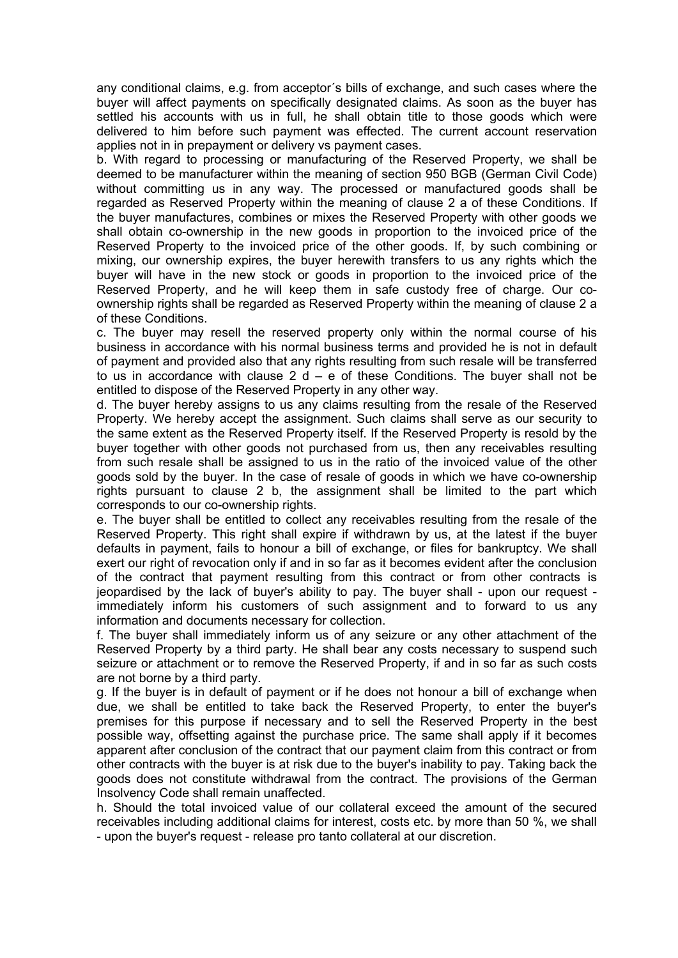any conditional claims, e.g. from acceptor´s bills of exchange, and such cases where the buyer will affect payments on specifically designated claims. As soon as the buyer has settled his accounts with us in full, he shall obtain title to those goods which were delivered to him before such payment was effected. The current account reservation applies not in in prepayment or delivery vs payment cases.

b. With regard to processing or manufacturing of the Reserved Property, we shall be deemed to be manufacturer within the meaning of section 950 BGB (German Civil Code) without committing us in any way. The processed or manufactured goods shall be regarded as Reserved Property within the meaning of clause 2 a of these Conditions. If the buyer manufactures, combines or mixes the Reserved Property with other goods we shall obtain co-ownership in the new goods in proportion to the invoiced price of the Reserved Property to the invoiced price of the other goods. If, by such combining or mixing, our ownership expires, the buyer herewith transfers to us any rights which the buyer will have in the new stock or goods in proportion to the invoiced price of the Reserved Property, and he will keep them in safe custody free of charge. Our coownership rights shall be regarded as Reserved Property within the meaning of clause 2 a of these Conditions.

c. The buyer may resell the reserved property only within the normal course of his business in accordance with his normal business terms and provided he is not in default of payment and provided also that any rights resulting from such resale will be transferred to us in accordance with clause  $2 d - e$  of these Conditions. The buyer shall not be entitled to dispose of the Reserved Property in any other way.

d. The buyer hereby assigns to us any claims resulting from the resale of the Reserved Property. We hereby accept the assignment. Such claims shall serve as our security to the same extent as the Reserved Property itself. If the Reserved Property is resold by the buyer together with other goods not purchased from us, then any receivables resulting from such resale shall be assigned to us in the ratio of the invoiced value of the other goods sold by the buyer. In the case of resale of goods in which we have co-ownership rights pursuant to clause 2 b, the assignment shall be limited to the part which corresponds to our co-ownership rights.

e. The buyer shall be entitled to collect any receivables resulting from the resale of the Reserved Property. This right shall expire if withdrawn by us, at the latest if the buyer defaults in payment, fails to honour a bill of exchange, or files for bankruptcy. We shall exert our right of revocation only if and in so far as it becomes evident after the conclusion of the contract that payment resulting from this contract or from other contracts is jeopardised by the lack of buyer's ability to pay. The buyer shall - upon our request immediately inform his customers of such assignment and to forward to us any information and documents necessary for collection.

f. The buyer shall immediately inform us of any seizure or any other attachment of the Reserved Property by a third party. He shall bear any costs necessary to suspend such seizure or attachment or to remove the Reserved Property, if and in so far as such costs are not borne by a third party.

g. If the buyer is in default of payment or if he does not honour a bill of exchange when due, we shall be entitled to take back the Reserved Property, to enter the buyer's premises for this purpose if necessary and to sell the Reserved Property in the best possible way, offsetting against the purchase price. The same shall apply if it becomes apparent after conclusion of the contract that our payment claim from this contract or from other contracts with the buyer is at risk due to the buyer's inability to pay. Taking back the goods does not constitute withdrawal from the contract. The provisions of the German Insolvency Code shall remain unaffected.

h. Should the total invoiced value of our collateral exceed the amount of the secured receivables including additional claims for interest, costs etc. by more than 50 %, we shall - upon the buyer's request - release pro tanto collateral at our discretion.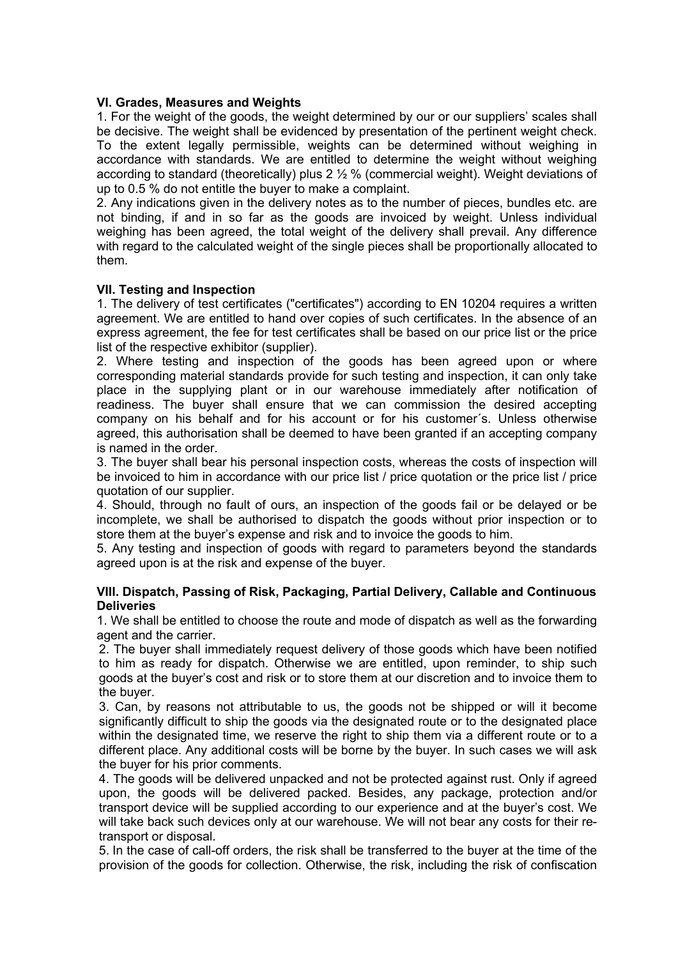### **VI. Grades, Measures and Weights**

1. For the weight of the goods, the weight determined by our or our suppliers' scales shall be decisive. The weight shall be evidenced by presentation of the pertinent weight check. To the extent legally permissible, weights can be determined without weighing in accordance with standards. We are entitled to determine the weight without weighing according to standard (theoretically) plus 2 ½ % (commercial weight). Weight deviations of up to 0.5 % do not entitle the buyer to make a complaint.

2. Any indications given in the delivery notes as to the number of pieces, bundles etc. are not binding, if and in so far as the goods are invoiced by weight. Unless individual weighing has been agreed, the total weight of the delivery shall prevail. Any difference with regard to the calculated weight of the single pieces shall be proportionally allocated to them.

### **VII. Testing and Inspection**

1. The delivery of test certificates ("certificates") according to EN 10204 requires a written agreement. We are entitled to hand over copies of such certificates. In the absence of an express agreement, the fee for test certificates shall be based on our price list or the price list of the respective exhibitor (supplier).

2. Where testing and inspection of the goods has been agreed upon or where corresponding material standards provide for such testing and inspection, it can only take place in the supplying plant or in our warehouse immediately after notification of readiness. The buyer shall ensure that we can commission the desired accepting company on his behalf and for his account or for his customer´s. Unless otherwise agreed, this authorisation shall be deemed to have been granted if an accepting company is named in the order.

3. The buyer shall bear his personal inspection costs, whereas the costs of inspection will be invoiced to him in accordance with our price list / price quotation or the price list / price quotation of our supplier.

4. Should, through no fault of ours, an inspection of the goods fail or be delayed or be incomplete, we shall be authorised to dispatch the goods without prior inspection or to store them at the buyer's expense and risk and to invoice the goods to him.

5. Any testing and inspection of goods with regard to parameters beyond the standards agreed upon is at the risk and expense of the buyer.

### **VIII. Dispatch, Passing of Risk, Packaging, Partial Delivery, Callable and Continuous Deliveries**

1. We shall be entitled to choose the route and mode of dispatch as well as the forwarding agent and the carrier.

2. The buyer shall immediately request delivery of those goods which have been notified to him as ready for dispatch. Otherwise we are entitled, upon reminder, to ship such goods at the buyer's cost and risk or to store them at our discretion and to invoice them to the buyer.

3. Can, by reasons not attributable to us, the goods not be shipped or will it become significantly difficult to ship the goods via the designated route or to the designated place within the designated time, we reserve the right to ship them via a different route or to a different place. Any additional costs will be borne by the buyer. In such cases we will ask the buyer for his prior comments.

4. The goods will be delivered unpacked and not be protected against rust. Only if agreed upon, the goods will be delivered packed. Besides, any package, protection and/or transport device will be supplied according to our experience and at the buyer's cost. We will take back such devices only at our warehouse. We will not bear any costs for their retransport or disposal.

5. In the case of call-off orders, the risk shall be transferred to the buyer at the time of the provision of the goods for collection. Otherwise, the risk, including the risk of confiscation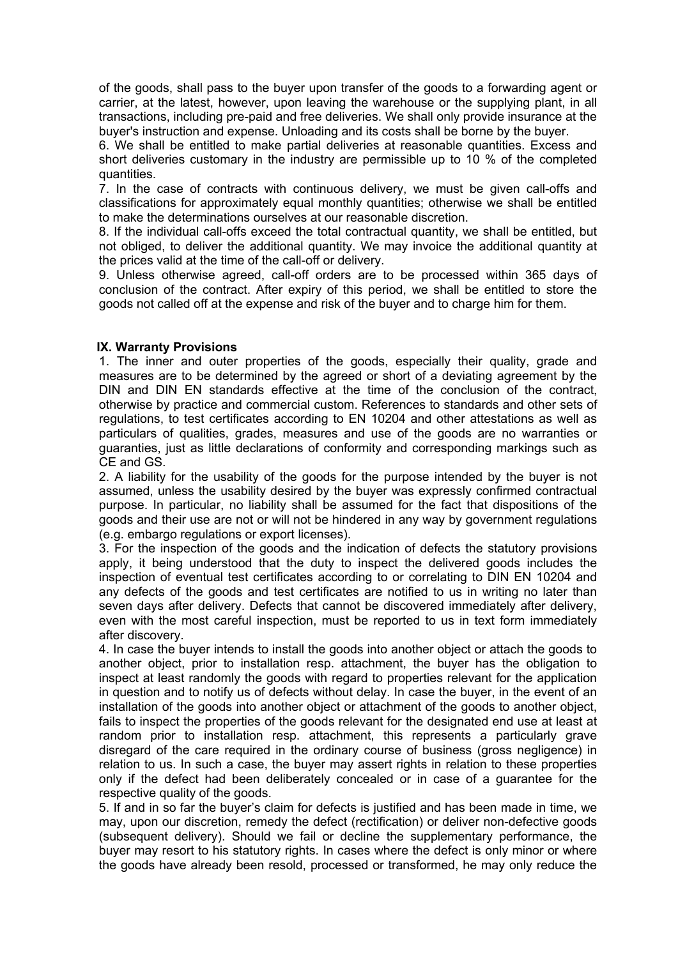of the goods, shall pass to the buyer upon transfer of the goods to a forwarding agent or carrier, at the latest, however, upon leaving the warehouse or the supplying plant, in all transactions, including pre-paid and free deliveries. We shall only provide insurance at the buyer's instruction and expense. Unloading and its costs shall be borne by the buyer.

6. We shall be entitled to make partial deliveries at reasonable quantities. Excess and short deliveries customary in the industry are permissible up to 10 % of the completed quantities.

7. In the case of contracts with continuous delivery, we must be given call-offs and classifications for approximately equal monthly quantities; otherwise we shall be entitled to make the determinations ourselves at our reasonable discretion.

8. If the individual call-offs exceed the total contractual quantity, we shall be entitled, but not obliged, to deliver the additional quantity. We may invoice the additional quantity at the prices valid at the time of the call-off or delivery.

9. Unless otherwise agreed, call-off orders are to be processed within 365 days of conclusion of the contract. After expiry of this period, we shall be entitled to store the goods not called off at the expense and risk of the buyer and to charge him for them.

### **IX. Warranty Provisions**

1. The inner and outer properties of the goods, especially their quality, grade and measures are to be determined by the agreed or short of a deviating agreement by the DIN and DIN EN standards effective at the time of the conclusion of the contract, otherwise by practice and commercial custom. References to standards and other sets of regulations, to test certificates according to EN 10204 and other attestations as well as particulars of qualities, grades, measures and use of the goods are no warranties or guaranties, just as little declarations of conformity and corresponding markings such as CE and GS.

2. A liability for the usability of the goods for the purpose intended by the buyer is not assumed, unless the usability desired by the buyer was expressly confirmed contractual purpose. In particular, no liability shall be assumed for the fact that dispositions of the goods and their use are not or will not be hindered in any way by government regulations (e.g. embargo regulations or export licenses).

3. For the inspection of the goods and the indication of defects the statutory provisions apply, it being understood that the duty to inspect the delivered goods includes the inspection of eventual test certificates according to or correlating to DIN EN 10204 and any defects of the goods and test certificates are notified to us in writing no later than seven days after delivery. Defects that cannot be discovered immediately after delivery, even with the most careful inspection, must be reported to us in text form immediately after discovery.

4. In case the buyer intends to install the goods into another object or attach the goods to another object, prior to installation resp. attachment, the buyer has the obligation to inspect at least randomly the goods with regard to properties relevant for the application in question and to notify us of defects without delay. In case the buyer, in the event of an installation of the goods into another object or attachment of the goods to another object, fails to inspect the properties of the goods relevant for the designated end use at least at random prior to installation resp. attachment, this represents a particularly grave disregard of the care required in the ordinary course of business (gross negligence) in relation to us. In such a case, the buyer may assert rights in relation to these properties only if the defect had been deliberately concealed or in case of a guarantee for the respective quality of the goods.

5. If and in so far the buyer's claim for defects is justified and has been made in time, we may, upon our discretion, remedy the defect (rectification) or deliver non-defective goods (subsequent delivery). Should we fail or decline the supplementary performance, the buyer may resort to his statutory rights. In cases where the defect is only minor or where the goods have already been resold, processed or transformed, he may only reduce the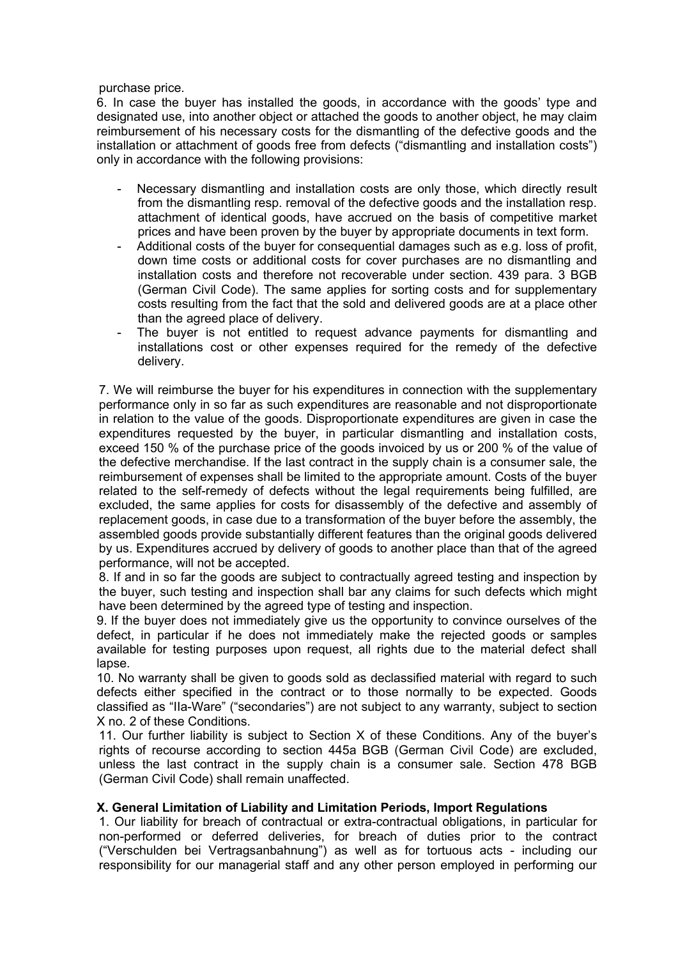### purchase price.

6. In case the buyer has installed the goods, in accordance with the goods' type and designated use, into another object or attached the goods to another object, he may claim reimbursement of his necessary costs for the dismantling of the defective goods and the installation or attachment of goods free from defects ("dismantling and installation costs") only in accordance with the following provisions:

- Necessary dismantling and installation costs are only those, which directly result from the dismantling resp. removal of the defective goods and the installation resp. attachment of identical goods, have accrued on the basis of competitive market prices and have been proven by the buyer by appropriate documents in text form.
- Additional costs of the buyer for consequential damages such as e.g. loss of profit, down time costs or additional costs for cover purchases are no dismantling and installation costs and therefore not recoverable under section. 439 para. 3 BGB (German Civil Code). The same applies for sorting costs and for supplementary costs resulting from the fact that the sold and delivered goods are at a place other than the agreed place of delivery.
- The buyer is not entitled to request advance payments for dismantling and installations cost or other expenses required for the remedy of the defective delivery.

7. We will reimburse the buyer for his expenditures in connection with the supplementary performance only in so far as such expenditures are reasonable and not disproportionate in relation to the value of the goods. Disproportionate expenditures are given in case the expenditures requested by the buyer, in particular dismantling and installation costs, exceed 150 % of the purchase price of the goods invoiced by us or 200 % of the value of the defective merchandise. If the last contract in the supply chain is a consumer sale, the reimbursement of expenses shall be limited to the appropriate amount. Costs of the buyer related to the self-remedy of defects without the legal requirements being fulfilled, are excluded, the same applies for costs for disassembly of the defective and assembly of replacement goods, in case due to a transformation of the buyer before the assembly, the assembled goods provide substantially different features than the original goods delivered by us. Expenditures accrued by delivery of goods to another place than that of the agreed performance, will not be accepted.

8. If and in so far the goods are subject to contractually agreed testing and inspection by the buyer, such testing and inspection shall bar any claims for such defects which might have been determined by the agreed type of testing and inspection.

9. If the buyer does not immediately give us the opportunity to convince ourselves of the defect, in particular if he does not immediately make the rejected goods or samples available for testing purposes upon request, all rights due to the material defect shall lapse.

10. No warranty shall be given to goods sold as declassified material with regard to such defects either specified in the contract or to those normally to be expected. Goods classified as "IIa-Ware" ("secondaries") are not subject to any warranty, subject to section X no. 2 of these Conditions.

11. Our further liability is subject to Section X of these Conditions. Any of the buyer's rights of recourse according to section 445a BGB (German Civil Code) are excluded, unless the last contract in the supply chain is a consumer sale. Section 478 BGB (German Civil Code) shall remain unaffected.

## **X. General Limitation of Liability and Limitation Periods, Import Regulations**

1. Our liability for breach of contractual or extra-contractual obligations, in particular for non-performed or deferred deliveries, for breach of duties prior to the contract ("Verschulden bei Vertragsanbahnung") as well as for tortuous acts - including our responsibility for our managerial staff and any other person employed in performing our